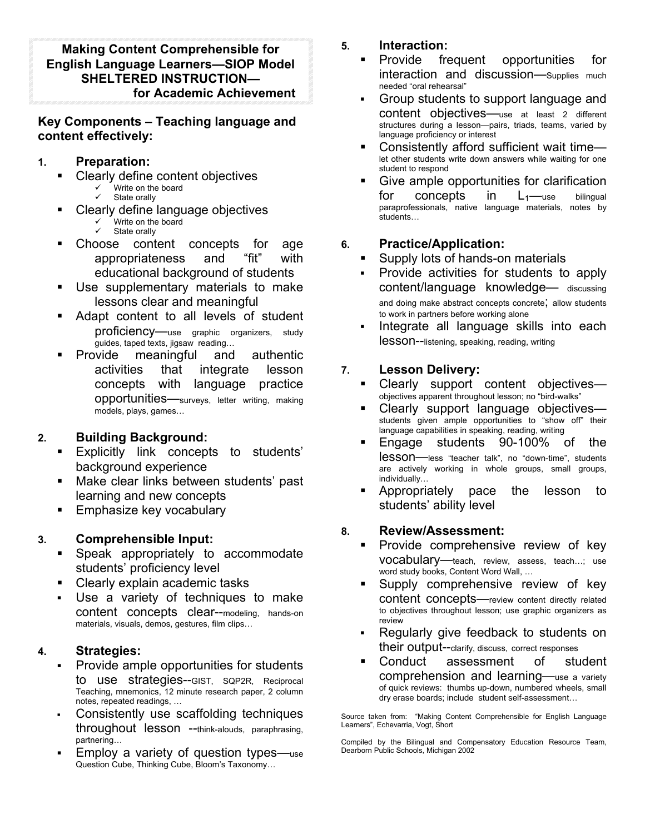# **Making Content Comprehensible for English Language Learners—SIOP Model SHELTERED INSTRUCTION for Academic Achievement**

# **Key Components – Teaching language and content effectively:**

# **1. Preparation:**

- Clearly define content objectives 9 Write on the board
	- $\checkmark$  State orally
- Clearly define language objectives Write on the board
	- State orally
- Choose content concepts for age appropriateness and "fit" with educational background of students
- Use supplementary materials to make lessons clear and meaningful
- Adapt content to all levels of student proficiency—use graphic organizers, study guides, taped texts, jigsaw reading…
- Provide meaningful and authentic activities that integrate lesson concepts with language practice opportunities—surveys, letter writing, making models, plays, games…

# **2. Building Background:**

- Explicitly link concepts to students' background experience
- Make clear links between students' past learning and new concepts
- **Emphasize key vocabulary**

# **3. Comprehensible Input:**

- Speak appropriately to accommodate students' proficiency level
- Clearly explain academic tasks
- Use a variety of techniques to make content concepts clear--modeling, hands-on materials, visuals, demos, gestures, film clips…

# **4. Strategies:**

- Provide ample opportunities for students to use strategies--GIST, SQP2R, Reciprocal Teaching, mnemonics, 12 minute research paper, 2 column notes, repeated readings, …
- Consistently use scaffolding techniques throughout lesson --think-alouds, paraphrasing, partnering…
- Employ a variety of question types—use Question Cube, Thinking Cube, Bloom's Taxonomy…

# **5. Interaction:**

- Provide frequent opportunities for interaction and discussion—Supplies much needed "oral rehearsal"
- Group students to support language and content objectives—use at least 2 different structures during a lesson—pairs, triads, teams, varied by language proficiency or interest
- Consistently afford sufficient wait time let other students write down answers while waiting for one student to respond
- Give ample opportunities for clarification for concepts in  $L_1$ —use bilingual paraprofessionals, native language materials, notes by students…

# **6. Practice/Application:**

- Supply lots of hands-on materials
- Provide activities for students to apply content/language knowledge— discussing and doing make abstract concepts concrete; allow students to work in partners before working alone
- Integrate all language skills into each lesson--listening, speaking, reading, writing

# **7. Lesson Delivery:**

- Clearly support content objectives objectives apparent throughout lesson; no "bird-walks"
- Clearly support language objectives students given ample opportunities to "show off" their language capabilities in speaking, reading, writing
- Engage students 90-100% of the lesson—less "teacher talk", no "down-time", students are actively working in whole groups, small groups, individually…
- Appropriately pace the lesson to students' ability level

# **8. Review/Assessment:**

- Provide comprehensive review of key vocabulary—teach, review, assess, teach…; use word study books, Content Word Wall, …
- Supply comprehensive review of key content concepts—review content directly related to objectives throughout lesson; use graphic organizers as review
- Regularly give feedback to students on their output--clarify, discuss, correct responses
- Conduct assessment of student comprehension and learning—use a variety of quick reviews: thumbs up-down, numbered wheels, small dry erase boards; include student self-assessment…

Source taken from: "Making Content Comprehensible for English Language Learners", Echevarria, Vogt, Short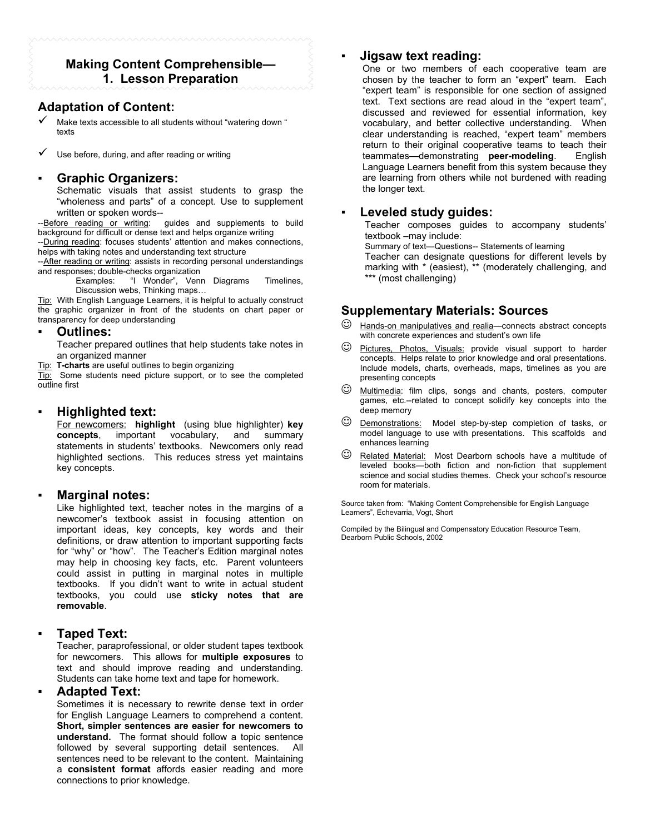# **Making Content Comprehensible— 1. Lesson Preparation**

## **Adaptation of Content:**

- Make texts accessible to all students without "watering down " texts
- Use before, during, and after reading or writing

### ▪ **Graphic Organizers:**

Schematic visuals that assist students to grasp the "wholeness and parts" of a concept. Use to supplement written or spoken words--

-Before reading or writing: guides and supplements to build background for difficult or dense text and helps organize writing

--During reading: focuses students' attention and makes connections, helps with taking notes and understanding text structure

-- After reading or writing: assists in recording personal understandings and responses; double-checks organization

Examples: "I Wonder", Venn Diagrams Timelines, Discussion webs, Thinking maps…

Tip: With English Language Learners, it is helpful to actually construct the graphic organizer in front of the students on chart paper or transparency for deep understanding

### **Outlines:**

Teacher prepared outlines that help students take notes in an organized manner

Tip: **T-charts** are useful outlines to begin organizing

Tip: Some students need picture support, or to see the completed outline first

## ▪ **Highlighted text:**

For newcomers: **highlight** (using blue highlighter) **key concepts**, important vocabulary, and summary statements in students' textbooks. Newcomers only read highlighted sections. This reduces stress yet maintains key concepts.

### **Marginal notes:**

Like highlighted text, teacher notes in the margins of a newcomer's textbook assist in focusing attention on important ideas, key concepts, key words and their definitions, or draw attention to important supporting facts for "why" or "how". The Teacher's Edition marginal notes may help in choosing key facts, etc. Parent volunteers could assist in putting in marginal notes in multiple textbooks. If you didn't want to write in actual student textbooks, you could use **sticky notes that are removable**.

## **Taped Text:**

Teacher, paraprofessional, or older student tapes textbook for newcomers. This allows for **multiple exposures** to text and should improve reading and understanding. Students can take home text and tape for homework.

### Adapted Text:

Sometimes it is necessary to rewrite dense text in order for English Language Learners to comprehend a content. **Short, simpler sentences are easier for newcomers to understand.** The format should follow a topic sentence followed by several supporting detail sentences. All sentences need to be relevant to the content. Maintaining a **consistent format** affords easier reading and more connections to prior knowledge.

## **Jigsaw text reading:**

One or two members of each cooperative team are chosen by the teacher to form an "expert" team. Each "expert team" is responsible for one section of assigned text. Text sections are read aloud in the "expert team", discussed and reviewed for essential information, key vocabulary, and better collective understanding. When clear understanding is reached, "expert team" members return to their original cooperative teams to teach their teammates—demonstrating **peer-modeling**. English Language Learners benefit from this system because they are learning from others while not burdened with reading the longer text.

### **Leveled study guides:**

Teacher composes guides to accompany students' textbook –may include:

Summary of text—Questions-- Statements of learning

Teacher can designate questions for different levels by marking with \* (easiest), \*\* (moderately challenging, and \*\*\* (most challenging)

# **Supplementary Materials: Sources**

- ☺ Hands-on manipulatives and realia—connects abstract concepts with concrete experiences and student's own life
- ☺ Pictures, Photos, Visuals: provide visual support to harder concepts. Helps relate to prior knowledge and oral presentations. Include models, charts, overheads, maps, timelines as you are presenting concepts
- **Whiltimedia:** film clips, songs and chants, posters, computer games, etc.--related to concept solidify key concepts into the deep memory
- ☺ Demonstrations: Model step-by-step completion of tasks, or model language to use with presentations. This scaffolds and enhances learning
- $\heartsuit$  Related Material: Most Dearborn schools have a multitude of leveled books—both fiction and non-fiction that supplement science and social studies themes. Check your school's resource room for materials.

Source taken from: "Making Content Comprehensible for English Language Learners", Echevarria, Vogt, Short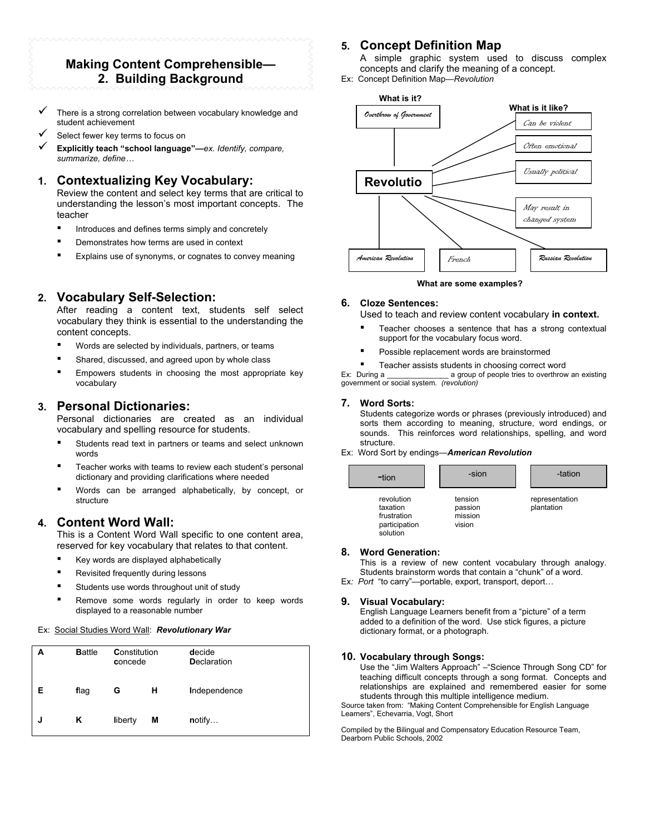# **Making Content Comprehensible— 2. Building Background**

- There is a strong correlation between vocabulary knowledge and student achievement
- Select fewer key terms to focus on
- 9 **Explicitly teach "school language"—***ex. Identify, compare, summarize, define…*

## **1. Contextualizing Key Vocabulary:**

Review the content and select key terms that are critical to understanding the lesson's most important concepts. The teacher

- Introduces and defines terms simply and concretely
- Demonstrates how terms are used in context
- Explains use of synonyms, or cognates to convey meaning

### **2. Vocabulary Self-Selection:**

After reading a content text, students self select vocabulary they think is essential to the understanding the content concepts.

- Words are selected by individuals, partners, or teams
- Shared, discussed, and agreed upon by whole class
- Empowers students in choosing the most appropriate key vocabulary

### **3. Personal Dictionaries:**

Personal dictionaries are created as an individual vocabulary and spelling resource for students.

- Students read text in partners or teams and select unknown words
- Teacher works with teams to review each student's personal dictionary and providing clarifications where needed
- Words can be arranged alphabetically, by concept, or structure

## **4. Content Word Wall:**

This is a Content Word Wall specific to one content area, reserved for key vocabulary that relates to that content.

- Key words are displayed alphabetically
- Revisited frequently during lessons
- Students use words throughout unit of study
- Remove some words regularly in order to keep words displayed to a reasonable number

#### Ex: Social Studies Word Wall: *Revolutionary War*

| Α | <b>Battle</b> | Constitution<br>concede |   | decide<br><b>Declaration</b> |
|---|---------------|-------------------------|---|------------------------------|
| Е | flag          | G                       | н | Independence                 |
| J | κ             | liberty                 | М | notify                       |

## **5. Concept Definition Map**

A simple graphic system used to discuss complex concepts and clarify the meaning of a concept.

Ex: Concept Definition Map—*Revolution*



**What are some examples?**

#### **6. Cloze Sentences:**

Used to teach and review content vocabulary **in context.**

- Teacher chooses a sentence that has a strong contextual support for the vocabulary focus word.
- Possible replacement words are brainstormed
- 

■ Teacher assists students in choosing correct word<br>Ex: During a \_\_\_\_\_\_\_\_\_\_\_\_\_\_\_\_\_\_\_\_\_ a group of people tries to overthrow a group of people tries to overthrow an existing government or social system. *(revolution)*

#### **7. Word Sorts:**

Students categorize words or phrases (previously introduced) and sorts them according to meaning, structure, word endings, or sounds. This reinforces word relationships, spelling, and word structure.

#### Ex: Word Sort by endings—*American Revolution*

| -tion                                                              | -sion                                   | -tation                      |
|--------------------------------------------------------------------|-----------------------------------------|------------------------------|
| revolution<br>taxation<br>frustration<br>participation<br>solution | tension<br>passion<br>mission<br>vision | representation<br>plantation |

#### **8. Word Generation:**

This is a review of new content vocabulary through analogy. Students brainstorm words that contain a "chunk" of a word.

Ex*: Port* "to carry"—portable, export, transport, deport…

### **9. Visual Vocabulary:**

English Language Learners benefit from a "picture" of a term added to a definition of the word. Use stick figures, a picture dictionary format, or a photograph.

#### **10. Vocabulary through Songs:**

Use the "Jim Walters Approach" –"Science Through Song CD" for teaching difficult concepts through a song format. Concepts and relationships are explained and remembered easier for some students through this multiple intelligence medium.

Source taken from: "Making Content Comprehensible for English Language Learners", Echevarria, Vogt, Short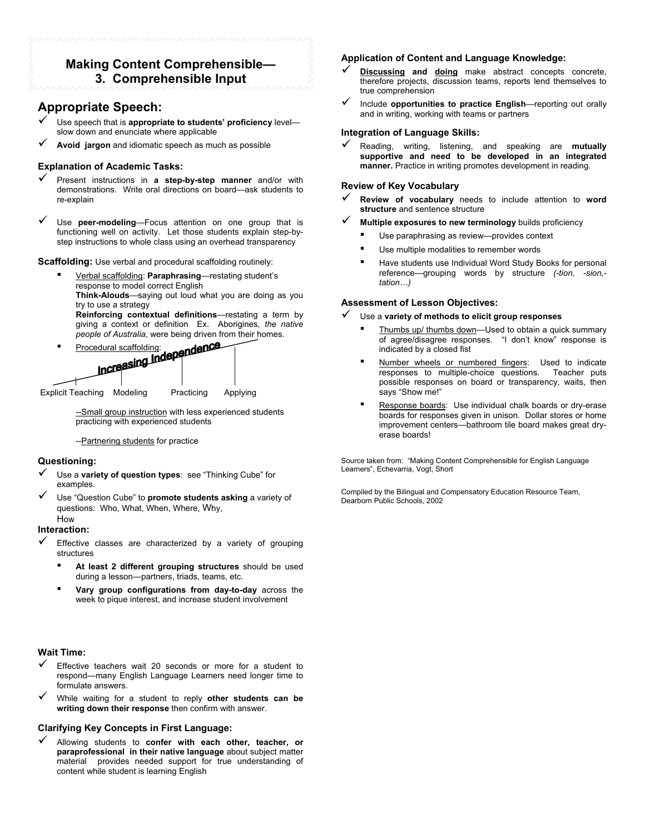# **Making Content Comprehensible— 3. Comprehensible Input**

## **Appropriate Speech:**

- 9 Use speech that is **appropriate to students' proficiency** level slow down and enunciate where applicable
- Avoid jargon and idiomatic speech as much as possible

#### **Explanation of Academic Tasks:**

- 9 Present instructions in **a step-by-step manner** and/or with demonstrations. Write oral directions on board—ask students to re-explain
- Use **peer-modeling**—Focus attention on one group that is functioning well on activity. Let those students explain step-bystep instructions to whole class using an overhead transparency

**Scaffolding:** Use verbal and procedural scaffolding routinely:

▪ Verbal scaffolding: **Paraphrasing**—restating student's response to model correct English **Think-Alouds**—saying out loud what you are doing as you try to use a strategy **Reinforcing contextual definitions**—restating a term by giving a context or definition Ex. Aborigines*, the native*



--Small group instruction with less experienced students practicing with experienced students

-- Partnering students for practice

#### **Questioning:**

- 9 Use a **variety of question types**: see "Thinking Cube" for examples.
- 9 Use "Question Cube" to **promote students asking** a variety of questions: Who, What, When, Where, Why, How

#### **Interaction:**

- Effective classes are characterized by a variety of grouping structures
	- At least 2 different grouping structures should be used during a lesson—partners, triads, teams, etc.
	- Vary group configurations from day-to-day across the week to pique interest, and increase student involvement

#### **Wait Time:**

- Effective teachers wait 20 seconds or more for a student to respond—many English Language Learners need longer time to formulate answers.
- 9 While waiting for a student to reply **other students can be writing down their response** then confirm with answer.

#### **Clarifying Key Concepts in First Language:**

9 Allowing students to **confer with each other, teacher, or paraprofessional in their native language** about subject matter material provides needed support for true understanding of content while student is learning English

#### **Application of Content and Language Knowledge:**

- **Discussing and doing** make abstract concepts concrete, therefore projects, discussion teams, reports lend themselves to true comprehension
- 9 Include **opportunities to practice English**—reporting out orally and in writing, working with teams or partners

#### **Integration of Language Skills:**

9 Reading, writing, listening, and speaking are **mutually supportive and need to be developed in an integrated manner.** Practice in writing promotes development in reading.

#### **Review of Key Vocabulary**

- 9 **Review of vocabulary** needs to include attention to **word structure** and sentence structure
- **Multiple exposures to new terminology** builds proficiency
	- Use paraphrasing as review—provides context
	- Use multiple modalities to remember words
	- Have students use Individual Word Study Books for personal reference—grouping words by structure *(-tion, -sion, tation…)*

#### **Assessment of Lesson Objectives:**

#### 9 Use a **variety of methods to elicit group responses**

- Thumbs up/ thumbs down—Used to obtain a quick summary of agree/disagree responses. "I don't know" response is indicated by a closed fist
- Number wheels or numbered fingers: Used to indicate responses to multiple-choice questions. Teacher puts responses to multiple-choice questions. possible responses on board or transparency, waits, then says "Show me!"
- Response boards: Use individual chalk boards or dry-erase boards for responses given in unison. Dollar stores or home improvement centers—bathroom tile board makes great dryerase boards!

Source taken from: "Making Content Comprehensible for English Language Learners", Echevarria, Vogt, Short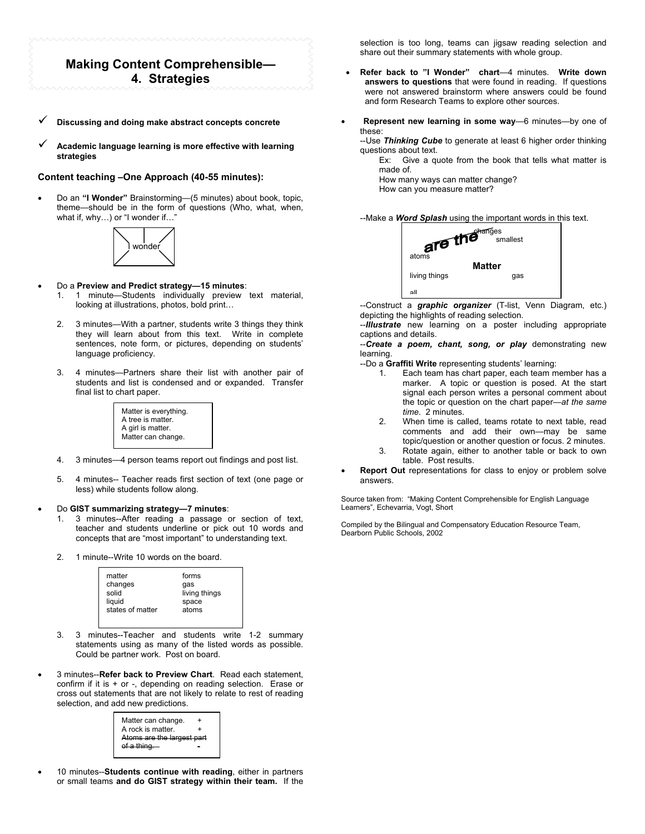## **Making Content Comprehensible— 4. Strategies**

- 9 **Discussing and doing make abstract concepts concrete**
- 9 **Academic language learning is more effective with learning strategies**

#### **Content teaching –One Approach (40-55 minutes):**

• Do an **"I Wonder"** Brainstorming—(5 minutes) about book, topic, theme—should be in the form of questions (Who, what, when, what if, why…) or "I wonder if…"



- Do a **Preview and Predict strategy—15 minutes**:
	- 1. 1 minute—Students individually preview text material, looking at illustrations, photos, bold print…
	- 2. 3 minutes—With a partner, students write 3 things they think they will learn about from this text. Write in complete sentences, note form, or pictures, depending on students' language proficiency.
	- 3. 4 minutes—Partners share their list with another pair of students and list is condensed and or expanded. Transfer final list to chart paper.

| Matter is everything. |  |  |  |
|-----------------------|--|--|--|
| A tree is matter.     |  |  |  |
| A girl is matter.     |  |  |  |
| Matter can change.    |  |  |  |
|                       |  |  |  |

- 4. 3 minutes—4 person teams report out findings and post list.
- 5. 4 minutes-- Teacher reads first section of text (one page or less) while students follow along.

#### • Do **GIST summarizing strategy—7 minutes**:

- 1. 3 minutes--After reading a passage or section of text, teacher and students underline or pick out 10 words and concepts that are "most important" to understanding text.
- 2. 1 minute--Write 10 words on the board.

| matter<br>changes<br>solid<br>liquid<br>states of matter | forms<br>qas<br>living things<br>space<br>atoms |
|----------------------------------------------------------|-------------------------------------------------|
|                                                          |                                                 |

- 3. 3 minutes--Teacher and students write 1-2 summary statements using as many of the listed words as possible. Could be partner work. Post on board.
- 3 minutes--**Refer back to Preview Chart**. Read each statement, confirm if it is + or -, depending on reading selection. Erase or cross out statements that are not likely to relate to rest of reading selection, and add new predictions.



• 10 minutes--**Students continue with reading**, either in partners or small teams **and do GIST strategy within their team.** If the selection is too long, teams can jigsaw reading selection and share out their summary statements with whole group.

- **Refer back to "I Wonder" chart**—4 minutes. **Write down answers to questions** that were found in reading. If questions were not answered brainstorm where answers could be found and form Research Teams to explore other sources.
- **Represent new learning in some way**—6 minutes—by one of these:

--Use *Thinking Cube* to generate at least 6 higher order thinking questions about text.

Ex: Give a quote from the book that tells what matter is made of.

How many ways can matter change?

How can you measure matter?

--Make a *Word Splash* using the important words in this text.



--Construct a *graphic organizer* (T-list, Venn Diagram, etc.) depicting the highlights of reading selection.

--*Illustrate* new learning on a poster including appropriate captions and details.

--*Create a poem, chant, song, or play* demonstrating new learning.

--Do a **Graffiti Write** representing students' learning:

- 1. Each team has chart paper, each team member has a marker. A topic or question is posed. At the start signal each person writes a personal comment about the topic or question on the chart paper—*at the same time*. 2 minutes.
- 2. When time is called, teams rotate to next table, read comments and add their own—may be same topic/question or another question or focus. 2 minutes.
- 3. Rotate again, either to another table or back to own table. Post results.
- **Report Out** representations for class to enjoy or problem solve answers.

Source taken from: "Making Content Comprehensible for English Language Learners", Echevarria, Vogt, Short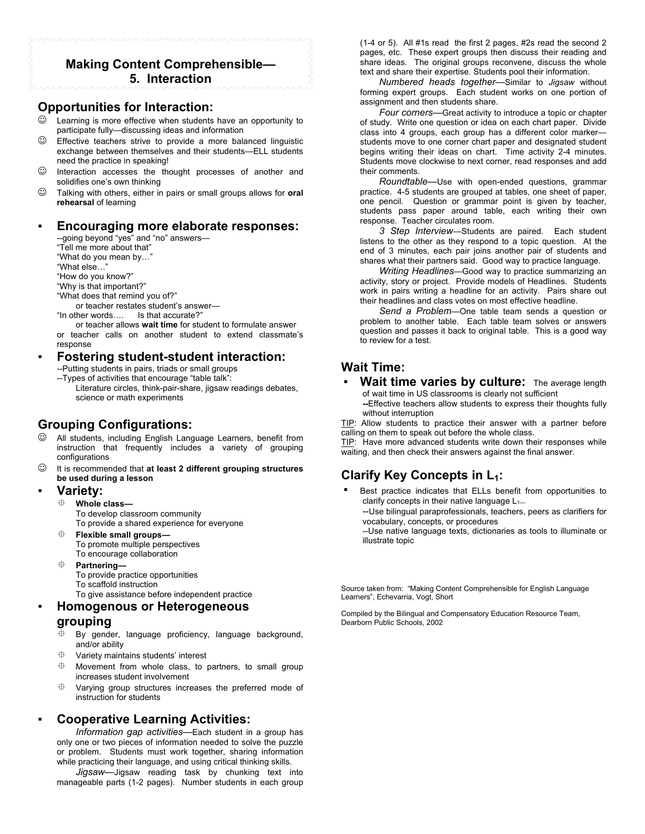## **Making Content Comprehensible— 5. Interaction**

## **Opportunities for Interaction:**

- Learning is more effective when students have an opportunity to participate fully—discussing ideas and information
- $\odot$  Effective teachers strive to provide a more balanced linguistic exchange between themselves and their students—ELL students need the practice in speaking!
- ☺ Interaction accesses the thought processes of another and solidifies one's own thinking
- ☺ Talking with others, either in pairs or small groups allows for **oral rehearsal** of learning

# ▪ **Encouraging more elaborate responses:**

--going beyond "yes" and "no" answers— "Tell me more about that" "What do you mean by…" "What else…" "How do you know?" "Why is that important?" "What does that remind you of?"

or teacher restates student's answer—

"In other words…. Is that accurate?"

or teacher allows **wait time** for student to formulate answer or teacher calls on another student to extend classmate's response

#### ▪ **Fostering student-student interaction:** --Putting students in pairs, triads or small groups

--Types of activities that encourage "table talk":

Literature circles, think-pair-share, jigsaw readings debates, science or math experiments

# **Grouping Configurations:**

- ☺ All students, including English Language Learners, benefit from instruction that frequently includes a variety of grouping configurations
- ☺ It is recommended that **at least 2 different grouping structures be used during a lesson**

## **Variety:**

- **Whole class—**
	- To develop classroom community
- To provide a shared experience for everyone **Flexible small groups—**
	- To promote multiple perspectives To encourage collaboration
- **Partnering—**
	- To provide practice opportunities
	- To scaffold instruction

To give assistance before independent practice

# ▪ **Homogenous or Heterogeneous**

### **grouping**

- By gender, language proficiency, language background, and/or ability
- $\oplus$  Variety maintains students' interest
- $\oplus$  Movement from whole class, to partners, to small group increases student involvement
- $\oplus$  Varying group structures increases the preferred mode of instruction for students

# ▪ **Cooperative Learning Activities:**

*Information gap activities*—Each student in a group has only one or two pieces of information needed to solve the puzzle or problem. Students must work together, sharing information while practicing their language, and using critical thinking skills.

*Jigsaw—*Jigsaw reading task by chunking text into manageable parts (1-2 pages). Number students in each group (1-4 or 5). All #1s read the first 2 pages, #2s read the second 2 pages, etc. These expert groups then discuss their reading and share ideas. The original groups reconvene, discuss the whole text and share their expertise. Students pool their information.

*Numbered heads together*—Similar to *Jigsaw* without forming expert groups. Each student works on one portion of assignment and then students share.

*Four corners*—Great activity to introduce a topic or chapter of study. Write one question or idea on each chart paper. Divide class into 4 groups, each group has a different color marker students move to one corner chart paper and designated student begins writing their ideas on chart. Time activity 2-4 minutes. Students move clockwise to next corner, read responses and add their comments.

*Roundtable—*Use with open-ended questions, grammar practice. 4-5 students are grouped at tables, one sheet of paper, one pencil. Question or grammar point is given by teacher, students pass paper around table, each writing their own response. Teacher circulates room.

*3 Step Interview*—Students are paired. Each student listens to the other as they respond to a topic question. At the end of 3 minutes, each pair joins another pair of students and shares what their partners said. Good way to practice language.

*Writing Headlines*—Good way to practice summarizing an activity, story or project. Provide models of Headlines. Students work in pairs writing a headline for an activity. Pairs share out their headlines and class votes on most effective headline.

*Send a Problem*—One table team sends a question or problem to another table. Each table team solves or answers question and passes it back to original table. This is a good way to review for a test.

# **Wait Time:**

**Wait time varies by culture:** The average length of wait time in US classrooms is clearly not sufficient

**--**Effective teachers allow students to express their thoughts fully without interruption

TIP: Allow students to practice their answer with a partner before calling on them to speak out before the whole class.

TIP: Have more advanced students write down their responses while waiting, and then check their answers against the final answer.

# **Clarify Key Concepts in L<sub>1</sub>:**

Best practice indicates that ELLs benefit from opportunities to clarify concepts in their native language  $L_{1-}$ 

--Use bilingual paraprofessionals, teachers, peers as clarifiers for vocabulary, concepts, or procedures

--Use native language texts, dictionaries as tools to illuminate or illustrate topic

Source taken from: "Making Content Comprehensible for English Language Learners", Echevarria, Vogt, Short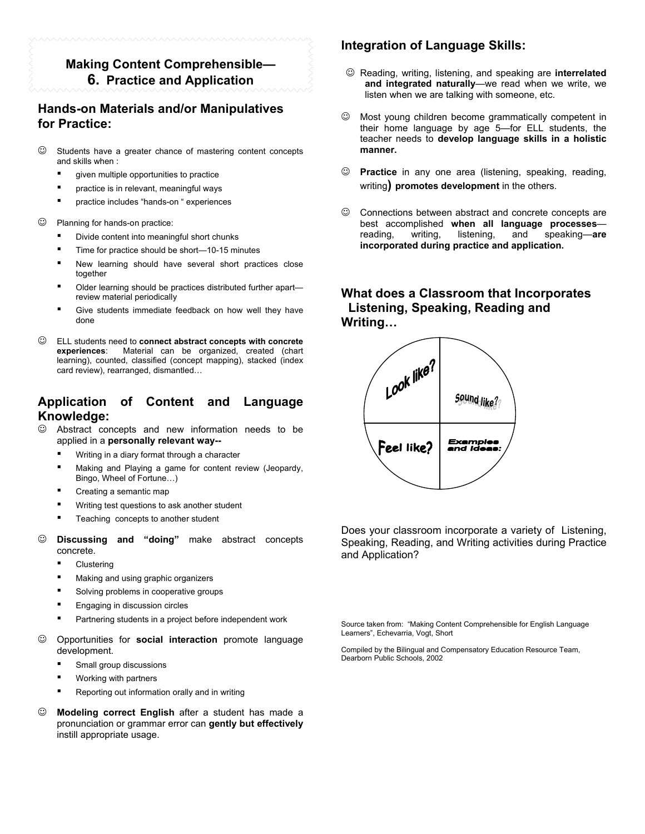# **Making Content Comprehensible— 6. Practice and Application**

# **Hands-on Materials and/or Manipulatives for Practice:**

- ☺ Students have a greater chance of mastering content concepts and skills when :
	- given multiple opportunities to practice
	- practice is in relevant, meaningful ways
	- practice includes "hands-on " experiences
- ☺ Planning for hands-on practice:
	- Divide content into meaningful short chunks
	- Time for practice should be short-10-15 minutes
	- New learning should have several short practices close together
	- Older learning should be practices distributed further apartreview material periodically
	- Give students immediate feedback on how well they have done
- ☺ ELL students need to **connect abstract concepts with concrete** Material can be organized, created (chart learning), counted, classified (concept mapping), stacked (index card review), rearranged, dismantled…

# **Application of Content and Language Knowledge:**

- ☺ Abstract concepts and new information needs to be applied in a **personally relevant way--**
	- Writing in a diary format through a character
	- Making and Playing a game for content review (Jeopardy, Bingo, Wheel of Fortune…)
	- Creating a semantic map
	- Writing test questions to ask another student
	- Teaching concepts to another student
- ☺ **Discussing and "doing"** make abstract concepts concrete.
	- Clustering
	- Making and using graphic organizers
	- Solving problems in cooperative groups
	- Engaging in discussion circles
	- Partnering students in a project before independent work
- ☺ Opportunities for **social interaction** promote language development.
	- Small group discussions
	- Working with partners
	- Reporting out information orally and in writing
- ☺ **Modeling correct English** after a student has made a pronunciation or grammar error can **gently but effectively** instill appropriate usage.

# **Integration of Language Skills:**

- ☺ Reading, writing, listening, and speaking are **interrelated and integrated naturally**—we read when we write, we listen when we are talking with someone, etc.
- ☺ Most young children become grammatically competent in their home language by age 5—for ELL students, the teacher needs to **develop language skills in a holistic manner.**
- ☺ **Practice** in any one area (listening, speaking, reading, writing**) promotes development** in the others.
- ☺ Connections between abstract and concrete concepts are best accomplished **when all language processes** reading, writing, listening, and speaking—**are incorporated during practice and application.**

# **What does a Classroom that Incorporates Listening, Speaking, Reading and Writing…**



Does your classroom incorporate a variety of Listening, Speaking, Reading, and Writing activities during Practice and Application?

Source taken from: "Making Content Comprehensible for English Language Learners", Echevarria, Vogt, Short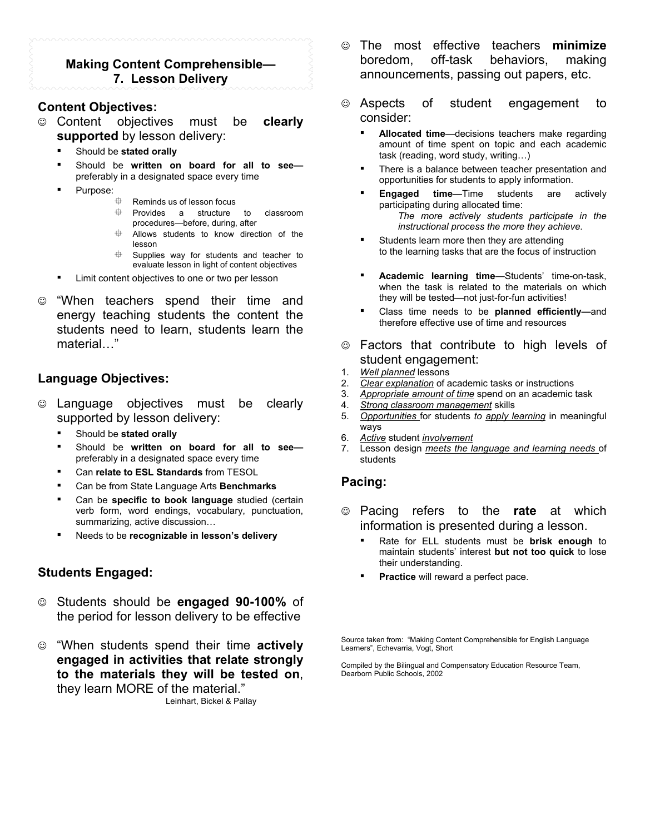# **Making Content Comprehensible— 7. Lesson Delivery**

# **Content Objectives:**

- ☺ Content objectives must be **clearly supported** by lesson delivery:
	- Should be stated orally
	- Should be written on board for all to seepreferably in a designated space every time
	- Purpose:
		- $\oplus$  Reminds us of lesson focus
		- Provides a structure to classroom procedures—before, during, after
		- Allows students to know direction of the lesson
		- $\oplus$  Supplies way for students and teacher to evaluate lesson in light of content objectives
	- Limit content objectives to one or two per lesson
- ☺ "When teachers spend their time and energy teaching students the content the students need to learn, students learn the material…"

# **Language Objectives:**

- ☺ Language objectives must be clearly supported by lesson delivery:
	- Should be stated orally
	- Should be written on board for all to seepreferably in a designated space every time
	- Can relate to ESL Standards from TESOL
	- Can be from State Language Arts **Benchmarks**
	- Can be **specific to book language** studied (certain verb form, word endings, vocabulary, punctuation, summarizing, active discussion…
	- Needs to be **recognizable in lesson's delivery**

# **Students Engaged:**

- ☺ Students should be **engaged 90-100%** of the period for lesson delivery to be effective
- ☺ "When students spend their time **actively engaged in activities that relate strongly to the materials they will be tested on**, they learn MORE of the material."

Leinhart, Bickel & Pallay

- ☺ The most effective teachers **minimize** boredom, off-task behaviors, making announcements, passing out papers, etc.
- ☺ Aspects of student engagement to consider:
	- **Allocated time**—decisions teachers make regarding amount of time spent on topic and each academic task (reading, word study, writing…)
	- There is a balance between teacher presentation and opportunities for students to apply information.
	- **Engaged time—Time students are actively** participating during allocated time: *The more actively students participate in the instructional process the more they achieve.*
	- Students learn more then they are attending to the learning tasks that are the focus of instruction
	- Academic learning time-Students' time-on-task, when the task is related to the materials on which they will be tested—not just-for-fun activities!
	- Class time needs to be **planned efficiently—and** therefore effective use of time and resources
- ☺ Factors that contribute to high levels of student engagement:
- 1. *Well planned* lessons
- 2. *Clear explanation* of academic tasks or instructions
- 3. *Appropriate amount of time* spend on an academic task
- 4. *Strong classroom management* skills
- 5. *Opportunities* for students *to apply learning* in meaningful ways
- 6. *Active* student *involvement*
- 7. Lesson design *meets the language and learning needs* of students

# **Pacing:**

- ☺ Pacing refers to the **rate** at which information is presented during a lesson.
	- Rate for ELL students must be **brisk enough** to maintain students' interest **but not too quick** to lose their understanding.
	- Practice will reward a perfect pace.

Source taken from: "Making Content Comprehensible for English Language Learners", Echevarria, Vogt, Short